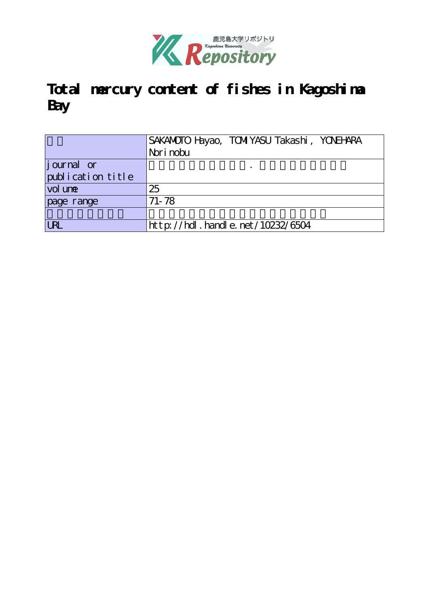

# **Total mercury content of fishes in Kagoshima Bay**

|                    | SAKAMOTO Hayao, TOMIYASU Takashi, YONEHARA<br>Nori nobu |
|--------------------|---------------------------------------------------------|
| <i>j</i> ournal or |                                                         |
| publication title  |                                                         |
| vol une            | 25                                                      |
| page range         | $71 - 78$                                               |
|                    |                                                         |
| <b>URL</b>         | http://hdl.handle.net/10232/6504                        |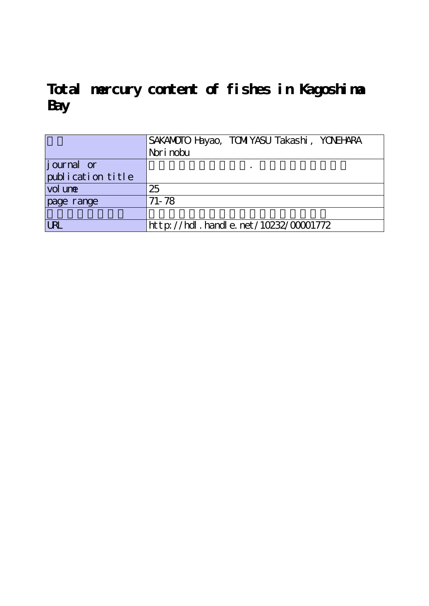**Total mercury content of fishes in Kagoshima Bay**

|                   | SAKAMOTO Hayao, TOMIYASU Takashi, YONEHARA |
|-------------------|--------------------------------------------|
|                   | Nori nobu                                  |
| journal or        |                                            |
| publication title |                                            |
| vol une           | 25                                         |
| page range        | $71 - 78$                                  |
|                   |                                            |
| <b>URL</b>        | $http://hdl. handle. net/10232/00001772$   |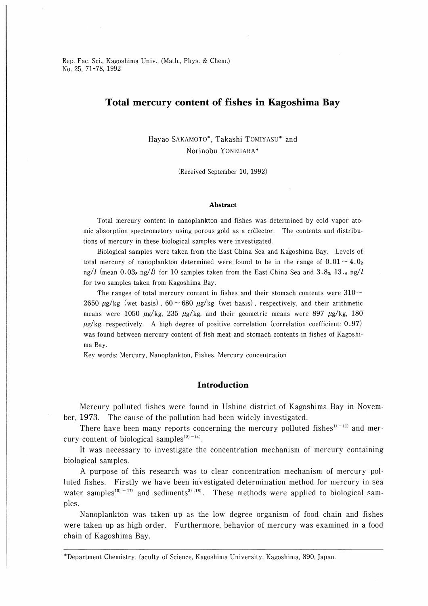Rep. Fac. Sci., Kagoshima Univ., (Math., Phys. & Chem.) No. 25, 71-78, 1992

# Total mercury content of fishes in Kagoshima Bay

Hayao SAKAMOTO\*, Takashi TOMIYASU\* and Norinobu YONEHARA\*

(Received September 10, 1992)

#### Abstract

Total mercury content in nanoplankton and fishes was determined by cold vapor atomic absorption spectrometory using porous gold as a collector. The contents and distributions of mercury in these biological samples were investigated.

Biological samples were taken from the East China Sea and Kagoshima Bay. Levels of total mercury of nanoplankton determined were found to be in the range of  $0.01 \sim 4.02$ ng/l (mean 0.03<sub>8</sub> ng/l) for 10 samples taken from the East China Sea and 3.8<sub>3</sub>, 13.<sub>6</sub> ng/l for two samples taken from Kagoshima Bay.

The ranges of total mercury content in fishes and their stomach contents were  $310\sim$ 2650  $\mu$ g/kg (wet basis), 60 ~ 680  $\mu$ g/kg (wet basis), respectively, and their arithmetic means were 1050  $\mu$ g/kg, 235  $\mu$ g/kg, and their geometric means were 897  $\mu$ g/kg, 180  $\mu$ g/kg, respectively. A high degree of positive correlation (correlation coefficient: 0.97) was found between mercury content of fish meat and stomach contents in fishes of Kagoshima Bay.

Key words: Mercury, Nanoplankton, Fishes, Mercury concentration

# Introduction

Mercury polluted fishes were found in Ushine district of Kagoshima Bay in November, 1973. The cause of the pollution had been widely investigated.

There have been many reports concerning the mercury polluted fishes $1^{1}$ -11) and mercury content of biological samples<sup>12)-14)</sup>.

It was necessary to investigate the concentration mechanism of mercury containing biological samples.

A purpose of this research was to clear concentration mechanism of mercury polluted fishes. Firstly we have been investigated determination method for mercury in sea water samples<sup>15) - 17)</sup> and sediments<sup>3)</sup>. <sup>18)</sup>. These methods were applied to biological sampies.

Nanoplankton was taken up as the low degree organism of food chain and fishes were taken up as high order. Furthermore, behavior of mercury was examined in a food chain of Kagoshima Bay.

Department Chemistry, faculty of Science, Kagoshima University, Kagoshima, 890, Japan.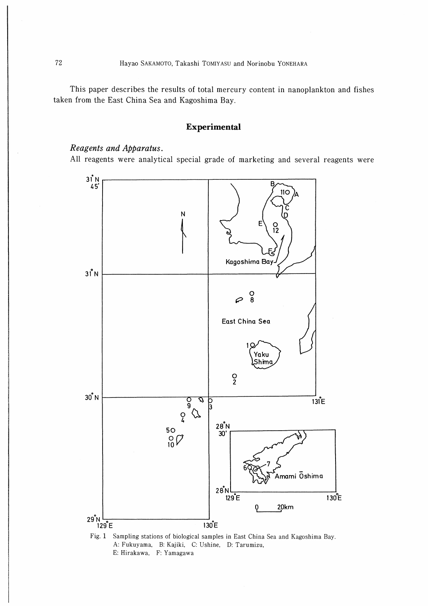This paper describes the results of total mercury content in nanoplankton and fishes taken from the East China Sea and Kagoshima Bay.

# Experimental

### Reagents and Apparatus.

All reagents were analytical special grade of marketing and several reagents were



Fig. 1 Sampling stations of biological samples in East China Sea and Kagoshima Bay. A: Fukuyama, B: Kajiki, C: Ushine, D: Tarumizu, E: Hirakawa, F: Yamagawa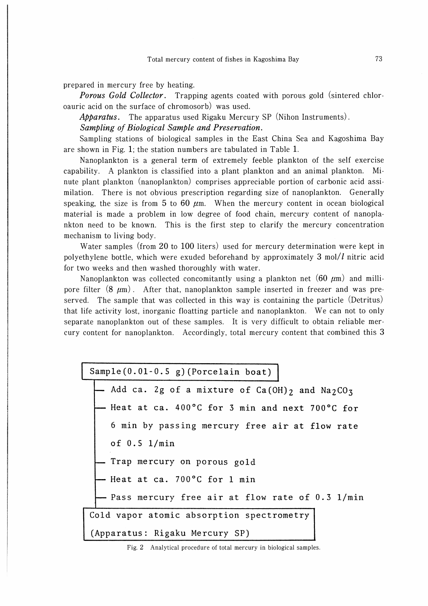prepared in mercury free by heating.

**Porous Gold Collector.** Trapping agents coated with porous gold (sintered chloroauric acid on the surface of chromosorb) was used.

Apparatus. The apparatus used Rigaku Mercury SP (Nihon Instruments).

Sampling of Biological Sample and Preservation.

Sampling stations of biological samples in the East China Sea and Kagoshima Bay are shown in Fig. 1; the station numbers are tabulated in Table 1.

Nanoplankton is a general term of extremely feeble plankton of the self exercise capability. A plankton is classified into a plant plankton and an animal plankton. Minute plant plankton (nanoplankton) comprises appreciable portion of carbonic acid assimilation. There is not obvious prescription regarding size of nanoplankton. Generally speaking, the size is from 5 to 60  $\mu$ m. When the mercury content in ocean biological material is made a problem in low degree of food chain, mercury content of nanoplankton need to be known. This is the first step to clarify the mercury concentration mechanism to living body.

Water samples (from 20 to 100 liters) used for mercury determination were kept in polyethylene bottle, which were exuded beforehand by approximately  $3 \text{ mol}/l$  nitric acid for two weeks and then washed thoroughly with water.

Nanoplankton was collected concomitantly using a plankton net  $(60 \mu m)$  and millipore filter  $(8 \mu m)$ . After that, nanoplankton sample inserted in freezer and was preserved. The sample that was collected in this way is containing the particle (Detritus) that life activity lost, inorganic floatting particle and nanoplankton. We can not to only separate nanoplankton out of these samples. It is very difficult to obtain reliable mercury content for nanoplankton. Accordingly, total mercury content that combined this 3

Sample(0.01-0.5 g)(Porcelain boat)

Add ca. 2g of a mixture of  $Ca(OH)_2$  and  $Na_2CO_3$ - Heat at ca.  $400^{\circ}$ C for 3 min and next 700 $^{\circ}$ C for 6 min by passing mercury free air at flow rate of 0.5 1/min . Trap mercury on porous gold - Heat at ca.  $700^{\circ}$ C for 1 min - Pass mercury free air at flow rate of 0.3 1/min Cold vapor atomic absorption spectrometry (Apparatus: Rigaku Mercury SP)

Fig. 2 Analytical procedure of total mercury in biological samples.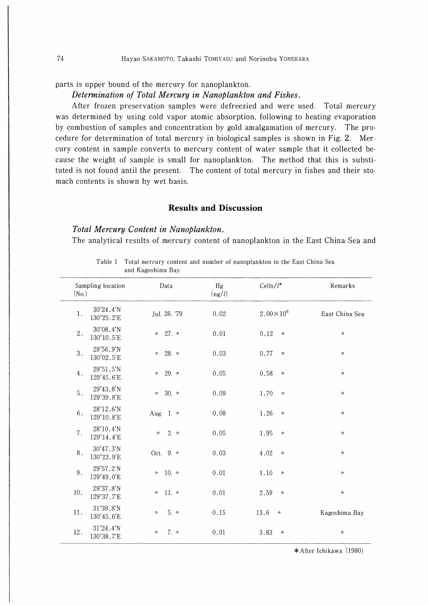parts is upper bound of the mercury for nanoplankton.

#### Determination of Total Mercury in Nanoplankton and Fishes.

After frozen preservation samples were defreezied and were used. Total mercury was determined by using cold vapor atomic absorption, following to heating evaporation by combustion of samples and concentration by gold amalgamation of mercury. The procedure for determination of total mercury in biological samples is shown in Fig. 2. Mercury content in sample converts to mercury content of water sample that it collected because the weight of sample is small for nanoplankton. The method that this is substituted is not found antil the present. The content of total mercury in fishes and their stomach contents is shown by wet basis.

# Results and Discussion

Table 1 Total mercury content and number of nanoplankton in the East China Sea

## Total Mercury Content in Nanoplankton.

The analytical results of mercury content of nanoplankton in the East China Sea and

| Sampling location<br>(N <sub>0</sub> ) |                                          | Data                                       | Hg<br>(ng/l) | Cells/ $l^*$                     | Remarks           |  |
|----------------------------------------|------------------------------------------|--------------------------------------------|--------------|----------------------------------|-------------------|--|
| 1.                                     | $30^{\circ}24.4'$ N<br>130°25.2'E        | Jul. 26. '79                               | 0.02         | $2.00 \times 10^6$               | East China Sea    |  |
| 2.                                     | $30^{\circ}08.4'$ N<br>130°10.5'E        | 427.4                                      | 0.01         | 0.12<br>$\overline{\phantom{a}}$ | $^{\prime\prime}$ |  |
| 3.                                     | $29^{\circ}56.9'$ N<br>130°02.5'E        | 28. $\prime$<br>n.                         | 0.03         | 0.77<br>$^{\prime\prime}$        | n                 |  |
| 4.                                     | 29°51.5'N<br>129°45.6'E                  | $29.$ $\prime$<br>$\overline{\phantom{a}}$ | 0.05         | 0.58<br>$\prime$                 | $\prime\prime$    |  |
| 5.                                     | 29°43.8'N<br>129°39.8'E                  | 30. $\prime$<br>$^{\prime\prime}$          | 0.09         | 1.70<br>$^{\prime\prime}$        | ヶ                 |  |
| 6.                                     | 28°12.6'N<br>129°10.8'E                  | Aug. 1. 4                                  | 0.08         | 1.26<br>$\prime$                 | $\overline{ }$    |  |
| 7.                                     | $28^{\circ}10.4'$ N<br>129°14.4'E        | 2.7<br>$\prime\prime$                      | 0.05         | 1.95<br>$^{\prime\prime}$        | $^{\prime\prime}$ |  |
| 8.                                     | $30^{\circ}47.3'N$<br>130°23.9'E         | Oct. 9. 4                                  | 0.03         | 4.02<br>$\overline{\phantom{a}}$ | $\prime\prime$    |  |
| 9.                                     | $29^{\circ}57.2^{\prime}N$<br>129°49.0'E | 10. $\gamma$<br>n.                         | 0.01         | 1.10<br>$\prime$                 | $^{\prime\prime}$ |  |
| $10.$                                  | 29°37.8'N<br>129°37.7'E                  | 11. $\circ$<br>$\prime$                    | 0.01         | 2.59<br>$\prime$                 | $^{\prime\prime}$ |  |
| 11.                                    | 31°39.8'N<br>130°45.6'E                  | $5. \, \circ$<br>n                         | 0.15         | 13.6<br>$\overline{\phantom{a}}$ | Kagoshima Bay     |  |
| 12.                                    | 31°24.4'N<br>130°38.7'E                  | 7.4<br>11                                  | 0.01         | 3.83<br>$\prime$                 | $^{\prime\prime}$ |  |

and Kagoshima Bay.

\*After Ichikawa (1980)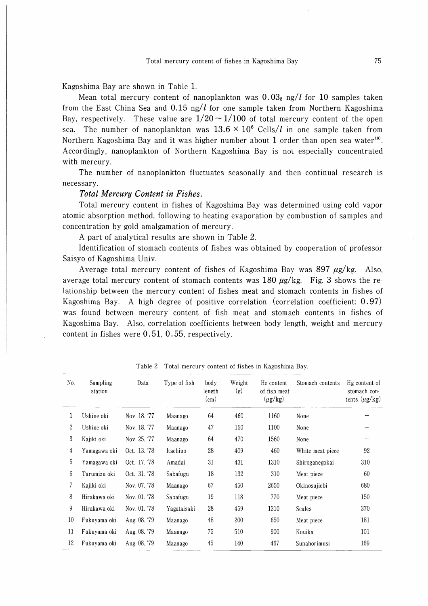Kagoshima Bay are shown in Table 1.

Mean total mercury content of nanoplankton was  $0.03<sub>8</sub>$  ng/ $\ell$  for 10 samples taken from the East China Sea and 0.15 ng/ $\ell$  for one sample taken from Northern Kagoshima Bay, respectively. These value are  $1/20 \sim 1/100$  of total mercury content of the open sea. The number of nanoplankton was  $13.6 \times 10^6$  Cells/*l* in one sample taken from Northern Kagoshima Bay and it was higher number about 1 order than open sea water<sup>19)</sup>. Accordingly, nanoplankton of Northern Kagoshima Bay is not especially concentrated with mercury.

The number of nanoplankton fluctuates seasonally and then continual research is necessary.

#### Total Mercury Content in Fishes.

Total mercury content in fishes of Kagoshima Bay was determined using cold vapor atomic absorption method, following to heating evaporation by combustion of samples and concentration by gold amalgamation of mercury.

A part of analytical results are shown in Table 2.

Identification of stomach contents of fishes was obtained by cooperation of professor Saisyo of Kagoshima Univ.

Average total mercury content of fishes of Kagoshima Bay was  $897 \mu g/kg$ . Also, average total mercury content of stomach contents was 180  $\mu$ g/kg. Fig. 3 shows the relationship between the mercury content of fishes meat and stomach contents in fishes of Kagoshima Bay. A high degree of positive correlation (correlation coefficient: 0.97) was found between mercury content of fish meat and stomach contents in fishes of Kagoshima Bay. Also, correlation coefficients between body length, weight and mercury content in fishes were 0.51, 0.55, respectively.

| No. | Sampling<br>station | Data         | Type of fish | body<br>length<br>$\text{(cm)}$ | Weight<br>(g) | He content<br>of fish meat<br>$(\mu$ g/kg) | Stomach contents | Hg content of<br>stomach con-<br>tents $(\mu g/kg)$ |
|-----|---------------------|--------------|--------------|---------------------------------|---------------|--------------------------------------------|------------------|-----------------------------------------------------|
| 1   | Ushine oki          | Nov. 18. '77 | Maanago      | 64                              | 460           | 1160                                       | None             |                                                     |
| 2   | Ushine oki          | Nov. 18, '77 | Maanago      | 47                              | 150           | 1100                                       | None             |                                                     |
| 3   | Kajiki oki          | Nov. 25, '77 | Maanago      | 64                              | 470           | 1560                                       | None             |                                                     |
| 4   | Yamagawa oki        | Oct. 13. '78 | Itachiuo     | 28                              | 409           | 460                                        | White meat piece | 92                                                  |
| 5   | Yamagawa oki        | Oct. 17. '78 | Amadai       | 31                              | 431           | 1310                                       | Shiroganegokai   | 310                                                 |
| 6   | Tarumizu oki        | Oct. 31. '78 | Sabafugu     | 18                              | 132           | 310                                        | Meat piece       | 60                                                  |
| 7   | Kajiki oki          | Nov. 07. '78 | Maanago      | 67                              | 450           | 2650                                       | Okinosujiebi     | 680                                                 |
| 8   | Hirakawa oki        | Nov. 01. '78 | Sabafugu     | 19                              | 118           | 770                                        | Meat piece       | 150                                                 |
| 9   | Hirakawa oki        | Nov. 01. '78 | Yagataisaki  | 28                              | 459           | 1310                                       | <b>Scales</b>    | 370                                                 |
| 10  | Fukuyama oki        | Aug. 08. '79 | Maanago      | 48                              | 200           | 650                                        | Meat piece       | 181                                                 |
| 11  | Fukuyama oki        | Aug. 08. '79 | Maanago      | 75                              | 510           | 900                                        | Kouika           | 101                                                 |
| 12  | Fukuyama oki        | Aug. 08. '79 | Maanago      | 45                              | 140           | 467                                        | Sunahorimusi     | 169                                                 |

Table 2 Total mercury content of fishes in Kagoshima Bay.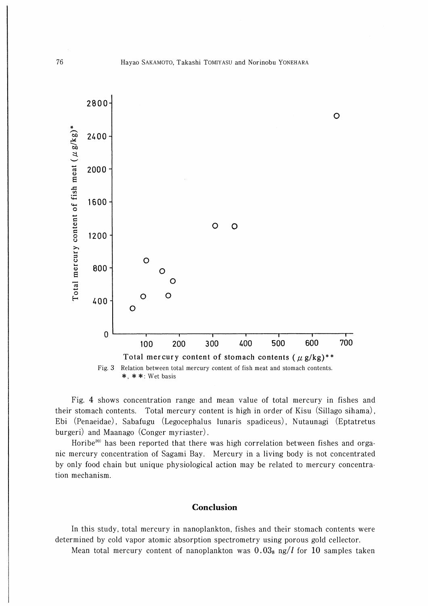

Fig. 4 shows concentration range and mean value of total mercury in fishes and their stomach contents. Total mercury content is high in order of Kisu (Sillago sihama), Ebi (Penaeidae), Sabafugu (Legocephalus lunaris spadiceus), Nutaunagi (Eptatretus burgeri) and Maanago (Conger myriaster).

Horibe<sup>20)</sup> has been reported that there was high correlation between fishes and orgame mercury concentration of Sagami Bay. Mercury in a living body is not concentrated by only food chain but unique physiological action may be related to mercury concentration mechanism.

#### Conclusion

In this study, total mercury in nanoplankton, fishes and their stomach contents were determined by cold vapor atomic absorption spectrometry using porous gold cellector.

Mean total mercury content of nanoplankton was  $0.03<sub>8</sub>$  ng/l for 10 samples taken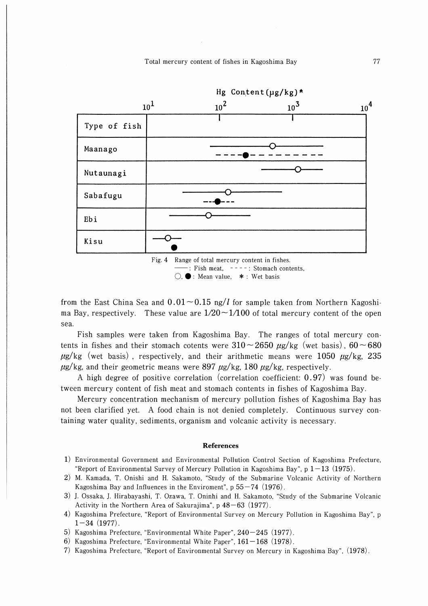Total mercury content of fishes in Kagoshima Bay





from the East China Sea and  $0.01\sim 0.15$  ng/*l* for sample taken from Northern Kagoshima Bay, respectively. These value are  $1/20 \sim 1/100$  of total mercury content of the open sea.

Fish samples were taken from Kagoshima Bay. The ranges of total mercury contents in fishes and their stomach cotents were  $310\sim 2650 \mu g/kg$  (wet basis),  $60\sim 680$  $\mu$ g/kg (wet basis), respectively, and their arithmetic means were 1050  $\mu$ g/kg, 235  $\mu$ g/kg, and their geometric means were 897  $\mu$ g/kg, 180  $\mu$ g/kg, respectively.

A high degree of positive correlation (correlation coefficient: 0.97) was found between mercury content of fish meat and stomach contents in fishes of Kagoshima Bay.

Mercury concentration mechanism of mercury pollution fishes of Kagoshima Bay has not been clarified yet. A food chain is not denied completely. Continuous survey contaming water quality, sediments, organism and volcanic activity is necessary.

#### **References**

- 1) Environmental Government and Environmental Pollution Control Section of Kagoshima Prefecture, "Report of Environmental Survey of Mercury Pollution in Kagoshima Bay", p  $1-13$  (1975).
- 2) M. Kamada, T. Onishi and H. Sakamoto, "Study of the Submarine Volcanic Activity of Northern Kagoshima Bay and Influences in the Enviroment",  $p 55-74$  (1976).
- 3) J. Ossaka, J. Hirabayashi, T. Ozawa, T. Oninhi and H. Sakamoto, "Study of the Submarine Volcanic Activity in the Northern Area of Sakurajima", p  $48-63$  (1977).
- 4) Kagoshima Prefecture, "Report of Environmental Survey on Mercury Pollution in Kagoshima Bay", p  $1-34$  (1977).
- 5) Kagoshima Prefecture, "Environmental White Paper", 240-245 (1977).
- 6) Kagoshima Prefecture, "Environmental White Paper",  $161-168$  (1978).
- 7) Kagoshima Prefecture, "Report of Environmental Survey on Mercury in Kagoshima Bay", (1978).